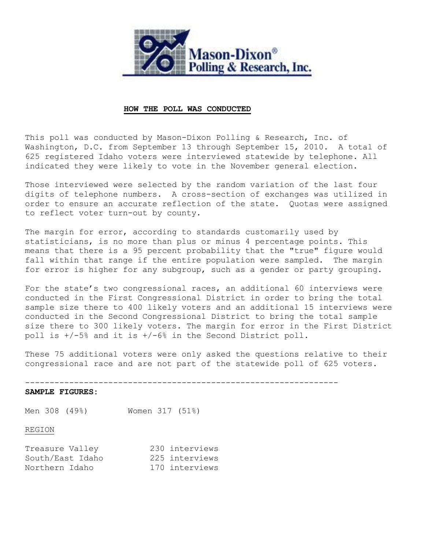

## **HOW THE POLL WAS CONDUCTED**

This poll was conducted by Mason-Dixon Polling & Research, Inc. of Washington, D.C. from September 13 through September 15, 2010. A total of 625 registered Idaho voters were interviewed statewide by telephone. All indicated they were likely to vote in the November general election.

Those interviewed were selected by the random variation of the last four digits of telephone numbers. A cross-section of exchanges was utilized in order to ensure an accurate reflection of the state. Quotas were assigned to reflect voter turn-out by county.

The margin for error, according to standards customarily used by statisticians, is no more than plus or minus 4 percentage points. This means that there is a 95 percent probability that the "true" figure would fall within that range if the entire population were sampled. The margin for error is higher for any subgroup, such as a gender or party grouping.

For the state's two congressional races, an additional 60 interviews were conducted in the First Congressional District in order to bring the total sample size there to 400 likely voters and an additional 15 interviews were conducted in the Second Congressional District to bring the total sample size there to 300 likely voters. The margin for error in the First District poll is +/-5% and it is +/-6% in the Second District poll.

These 75 additional voters were only asked the questions relative to their congressional race and are not part of the statewide poll of 625 voters.

----------------------------------------------------------------

### **SAMPLE FIGURES:**

Men 308 (49%) Women 317 (51%)

# REGION

| Treasure Valley  | 230 interviews |
|------------------|----------------|
| South/East Idaho | 225 interviews |
| Northern Idaho   | 170 interviews |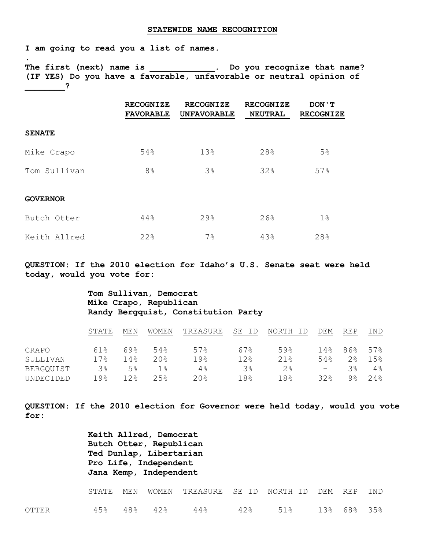#### **STATEWIDE NAME RECOGNITION**

**I am going to read you a list of names.**

**.** 

**The first (next) name is \_\_\_\_\_\_\_\_\_\_\_\_\_. Do you recognize that name? (IF YES) Do you have a favorable, unfavorable or neutral opinion of \_\_\_\_\_\_\_\_?**

|                 | <b>RECOGNIZE</b><br><b>FAVORABLE</b> | <b>RECOGNIZE</b><br><b>UNFAVORABLE</b> | <b>RECOGNIZE</b><br><b>NEUTRAL</b> | DON ' T<br><b>RECOGNIZE</b> |
|-----------------|--------------------------------------|----------------------------------------|------------------------------------|-----------------------------|
| <b>SENATE</b>   |                                      |                                        |                                    |                             |
| Mike Crapo      | 54%                                  | 13%                                    | 28%                                | 5%                          |
| Tom Sullivan    | 8 <sup>°</sup>                       | 3%                                     | 32%                                | 57%                         |
| <b>GOVERNOR</b> |                                      |                                        |                                    |                             |
| Butch Otter     | 44%                                  | 29%                                    | 26%                                | $1\%$                       |
| Keith Allred    | 22%                                  | 7 <sup>°</sup>                         | 43%                                | 28%                         |

**QUESTION: If the 2010 election for Idaho's U.S. Senate seat were held today, would you vote for:** 

# **Tom Sullivan, Democrat Mike Crapo, Republican Randy Bergquist, Constitution Party**

|           | STATE          | MEN  | WOMEN | TREASURE        | SE ID | NORTH<br>ID | DEM      | <b>REP</b>     | IND  |
|-----------|----------------|------|-------|-----------------|-------|-------------|----------|----------------|------|
| CRAPO     | 61%            | 69%  | 54%   | 57%             | 67%   | 59%         | 14%      | 86%            | 57%  |
| SULLIVAN  | 17.8           | 14%  | 20.8  | 19 <sub>8</sub> | 12%   | 21.8        | 54%      | 2%             | 1.5% |
| BERGQUIST | 3 <sup>°</sup> | 5%   | $1\%$ | 4%              | 3%    | 2.8         | $\equiv$ | 3%             | 4%   |
| UNDECIDED | 19%            | 12.8 | 2.5%  | 20.8            | 18%   | 18%         | 32.8     | 9 <sup>°</sup> | 24%  |

**QUESTION: If the 2010 election for Governor were held today, would you vote for:**

> **Keith Allred, Democrat Butch Otter, Republican Ted Dunlap, Libertarian Pro Life, Independent Jana Kemp, Independent**

|       |  |  | STATE MEN WOMEN TREASURE SE ID NORTH-ID DEM REP IND |  |  |
|-------|--|--|-----------------------------------------------------|--|--|
| OTTER |  |  | 45% 48% 42% 44% 42% 51% 13% 68% 35%                 |  |  |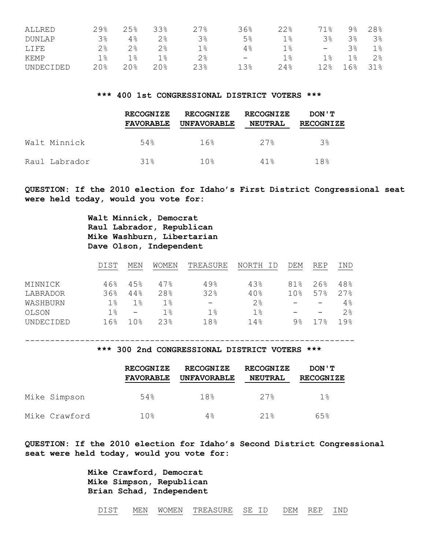| ALLRED    | $29$ <sup>2</sup> | 25%   | 33%  | $27$ <sup>8</sup> | 36%                      | 22%        | 1.8                      | 9%         | 28%            |
|-----------|-------------------|-------|------|-------------------|--------------------------|------------|--------------------------|------------|----------------|
| DUNLAP    | 3%                | $4\%$ | 2%   | 3%                | $5\%$                    | 1%         | 3%                       | 38         | $3\%$          |
| LIFE      | 2%                | $2\,$ | 2%   | 1%                | 4%                       | $1\,$ $\,$ | $\overline{\phantom{a}}$ | 38         | $1\%$          |
| KEMP      | 1%                | 1 응   | 1 %  | $2\,$             | $\overline{\phantom{m}}$ | 1%         | $1$ $\approx$            | $1\,$ $\,$ | 2 <sup>°</sup> |
| UNDECIDED | 20%               | 20%   | 20.8 | 23%               | 13%                      | 24%        | ' 2응                     | . 6%       | 31%            |

### **\*\*\* 400 1st CONGRESSIONAL DISTRICT VOTERS \*\*\***

|               | <b>RECOGNIZE</b><br><b>FAVORABLE</b> | <b>RECOGNIZE</b><br><b>UNFAVORABLE</b> | <b>RECOGNIZE</b><br><b>NEUTRAL</b> | DON ' T<br><b>RECOGNIZE</b> |
|---------------|--------------------------------------|----------------------------------------|------------------------------------|-----------------------------|
| Walt Minnick  | 54%                                  | 16%                                    | 27%                                | $3\%$                       |
| Raul Labrador | 31%                                  | 10응                                    | 41%                                | 18%                         |

**QUESTION: If the 2010 election for Idaho's First District Congressional seat were held today, would you vote for:** 

> **Walt Minnick, Democrat Raul Labrador, Republican Mike Washburn, Libertarian Dave Olson, Independent**

|           | DIST | MEN                      | <b>WOMEN</b> | TREASURE                 | NORTH | DEM             | <b>REP</b>               | IND               |
|-----------|------|--------------------------|--------------|--------------------------|-------|-----------------|--------------------------|-------------------|
| MINNICK   | 46%  | 45%                      | 47%          | 49%                      | 43%   | 81%             | 26%                      | 48%               |
| LABRADOR  | 36%  | 44%                      | 28%          | 32%                      | 40%   | 10 <sub>8</sub> | 57%                      | $27$ <sup>2</sup> |
| WASHBURN  | 1%   | $1\%$                    | $1\%$        | $\overline{\phantom{0}}$ | 2%    |                 | $\overline{\phantom{m}}$ | 4%                |
| OLSON     | 1%   | $\overline{\phantom{0}}$ | 1%           | $1\%$                    | $1\%$ |                 | $\overline{\phantom{0}}$ | 2%                |
| UNDECIDED | 16%  | 1 በ ⊱                    | 2.3%         | 18%                      | 14%   | 9%              | 17.8                     | 19.8              |

# **\*\*\* 300 2nd CONGRESSIONAL DISTRICT VOTERS \*\*\***

------------------------------------------------------------------

|               | <b>RECOGNIZE</b><br><b>FAVORABLE</b> | <b>RECOGNIZE</b><br><b>UNFAVORABLE</b> | <b>RECOGNIZE</b><br><b>NEUTRAL</b> | DON ' T<br><b>RECOGNIZE</b> |
|---------------|--------------------------------------|----------------------------------------|------------------------------------|-----------------------------|
| Mike Simpson  | 54%                                  | 18%                                    | 27%                                | 1%                          |
| Mike Crawford | 10%                                  | 4%                                     | 21%                                | 6.5%                        |

**QUESTION: If the 2010 election for Idaho's Second District Congressional seat were held today, would you vote for:** 

> **Mike Crawford, Democrat Mike Simpson, Republican Brian Schad, Independent**

DIST MEN WOMEN TREASURE SE ID DEM REP IND